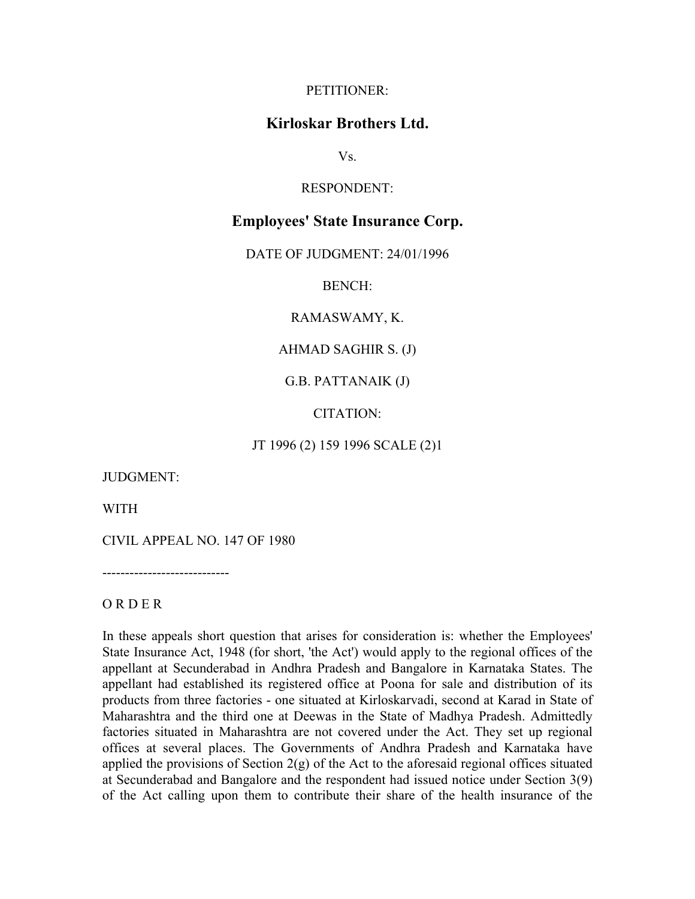## PETITIONER:

## **Kirloskar Brothers Ltd.**

Vs.

RESPONDENT:

## **Employees' State Insurance Corp.**

DATE OF JUDGMENT: 24/01/1996

BENCH:

RAMASWAMY, K.

AHMAD SAGHIR S. (J)

G.B. PATTANAIK (J)

CITATION:

JT 1996 (2) 159 1996 SCALE (2)1

JUDGMENT:

WITH

CIVIL APPEAL NO. 147 OF 1980

----------------------------

## O R D E R

In these appeals short question that arises for consideration is: whether the Employees' State Insurance Act, 1948 (for short, 'the Act') would apply to the regional offices of the appellant at Secunderabad in Andhra Pradesh and Bangalore in Karnataka States. The appellant had established its registered office at Poona for sale and distribution of its products from three factories - one situated at Kirloskarvadi, second at Karad in State of Maharashtra and the third one at Deewas in the State of Madhya Pradesh. Admittedly factories situated in Maharashtra are not covered under the Act. They set up regional offices at several places. The Governments of Andhra Pradesh and Karnataka have applied the provisions of Section 2(g) of the Act to the aforesaid regional offices situated at Secunderabad and Bangalore and the respondent had issued notice under Section 3(9) of the Act calling upon them to contribute their share of the health insurance of the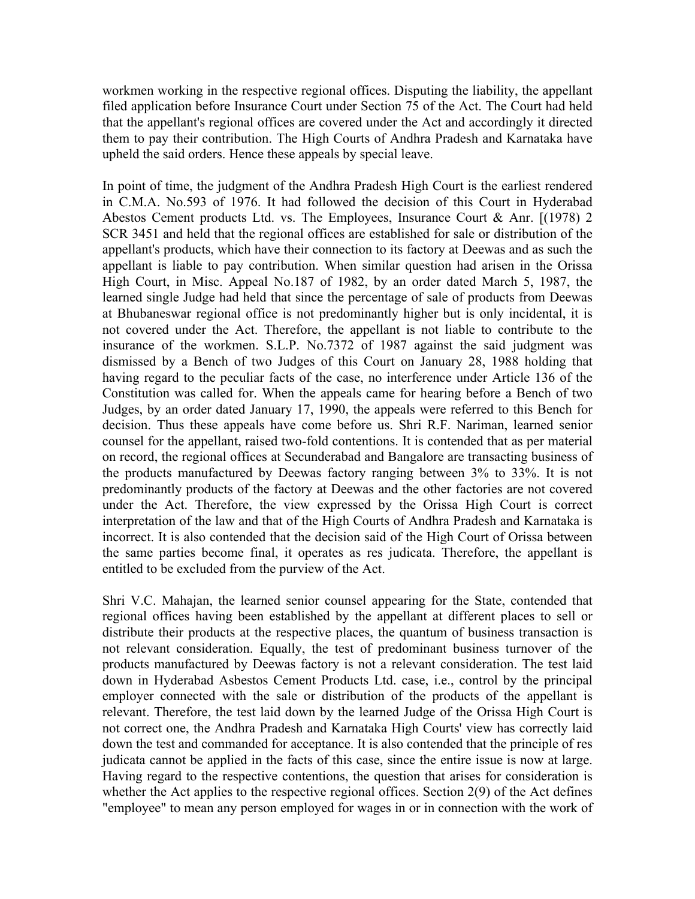workmen working in the respective regional offices. Disputing the liability, the appellant filed application before Insurance Court under Section 75 of the Act. The Court had held that the appellant's regional offices are covered under the Act and accordingly it directed them to pay their contribution. The High Courts of Andhra Pradesh and Karnataka have upheld the said orders. Hence these appeals by special leave.

In point of time, the judgment of the Andhra Pradesh High Court is the earliest rendered in C.M.A. No.593 of 1976. It had followed the decision of this Court in Hyderabad Abestos Cement products Ltd. vs. The Employees, Insurance Court & Anr. [(1978) 2 SCR 3451 and held that the regional offices are established for sale or distribution of the appellant's products, which have their connection to its factory at Deewas and as such the appellant is liable to pay contribution. When similar question had arisen in the Orissa High Court, in Misc. Appeal No.187 of 1982, by an order dated March 5, 1987, the learned single Judge had held that since the percentage of sale of products from Deewas at Bhubaneswar regional office is not predominantly higher but is only incidental, it is not covered under the Act. Therefore, the appellant is not liable to contribute to the insurance of the workmen. S.L.P. No.7372 of 1987 against the said judgment was dismissed by a Bench of two Judges of this Court on January 28, 1988 holding that having regard to the peculiar facts of the case, no interference under Article 136 of the Constitution was called for. When the appeals came for hearing before a Bench of two Judges, by an order dated January 17, 1990, the appeals were referred to this Bench for decision. Thus these appeals have come before us. Shri R.F. Nariman, learned senior counsel for the appellant, raised two-fold contentions. It is contended that as per material on record, the regional offices at Secunderabad and Bangalore are transacting business of the products manufactured by Deewas factory ranging between 3% to 33%. It is not predominantly products of the factory at Deewas and the other factories are not covered under the Act. Therefore, the view expressed by the Orissa High Court is correct interpretation of the law and that of the High Courts of Andhra Pradesh and Karnataka is incorrect. It is also contended that the decision said of the High Court of Orissa between the same parties become final, it operates as res judicata. Therefore, the appellant is entitled to be excluded from the purview of the Act.

Shri V.C. Mahajan, the learned senior counsel appearing for the State, contended that regional offices having been established by the appellant at different places to sell or distribute their products at the respective places, the quantum of business transaction is not relevant consideration. Equally, the test of predominant business turnover of the products manufactured by Deewas factory is not a relevant consideration. The test laid down in Hyderabad Asbestos Cement Products Ltd. case, i.e., control by the principal employer connected with the sale or distribution of the products of the appellant is relevant. Therefore, the test laid down by the learned Judge of the Orissa High Court is not correct one, the Andhra Pradesh and Karnataka High Courts' view has correctly laid down the test and commanded for acceptance. It is also contended that the principle of res judicata cannot be applied in the facts of this case, since the entire issue is now at large. Having regard to the respective contentions, the question that arises for consideration is whether the Act applies to the respective regional offices. Section 2(9) of the Act defines "employee" to mean any person employed for wages in or in connection with the work of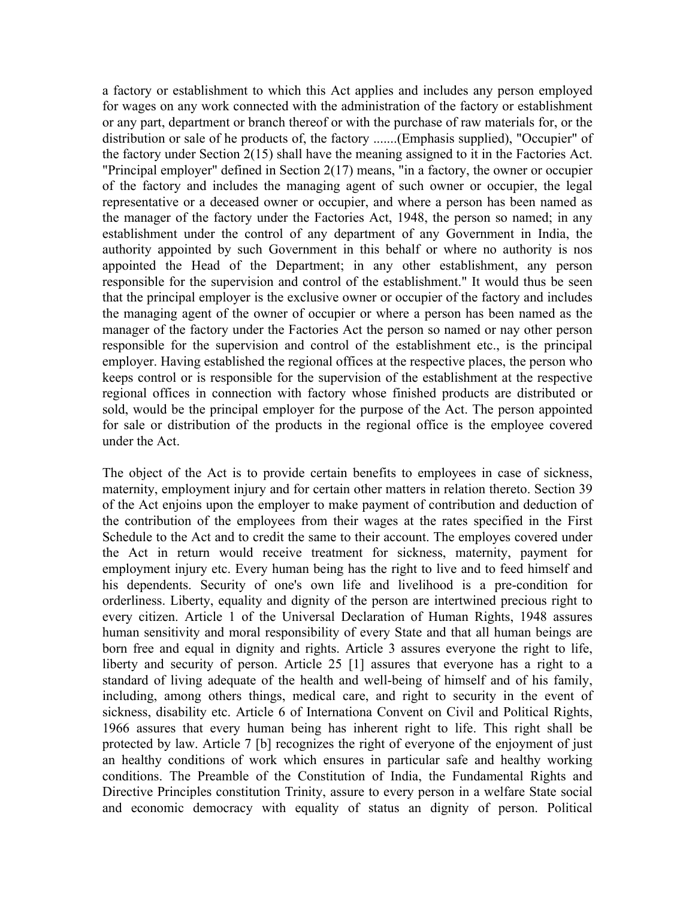a factory or establishment to which this Act applies and includes any person employed for wages on any work connected with the administration of the factory or establishment or any part, department or branch thereof or with the purchase of raw materials for, or the distribution or sale of he products of, the factory .......(Emphasis supplied), "Occupier" of the factory under Section 2(15) shall have the meaning assigned to it in the Factories Act. "Principal employer" defined in Section 2(17) means, "in a factory, the owner or occupier of the factory and includes the managing agent of such owner or occupier, the legal representative or a deceased owner or occupier, and where a person has been named as the manager of the factory under the Factories Act, 1948, the person so named; in any establishment under the control of any department of any Government in India, the authority appointed by such Government in this behalf or where no authority is nos appointed the Head of the Department; in any other establishment, any person responsible for the supervision and control of the establishment." It would thus be seen that the principal employer is the exclusive owner or occupier of the factory and includes the managing agent of the owner of occupier or where a person has been named as the manager of the factory under the Factories Act the person so named or nay other person responsible for the supervision and control of the establishment etc., is the principal employer. Having established the regional offices at the respective places, the person who keeps control or is responsible for the supervision of the establishment at the respective regional offices in connection with factory whose finished products are distributed or sold, would be the principal employer for the purpose of the Act. The person appointed for sale or distribution of the products in the regional office is the employee covered under the Act.

The object of the Act is to provide certain benefits to employees in case of sickness, maternity, employment injury and for certain other matters in relation thereto. Section 39 of the Act enjoins upon the employer to make payment of contribution and deduction of the contribution of the employees from their wages at the rates specified in the First Schedule to the Act and to credit the same to their account. The employes covered under the Act in return would receive treatment for sickness, maternity, payment for employment injury etc. Every human being has the right to live and to feed himself and his dependents. Security of one's own life and livelihood is a pre-condition for orderliness. Liberty, equality and dignity of the person are intertwined precious right to every citizen. Article 1 of the Universal Declaration of Human Rights, 1948 assures human sensitivity and moral responsibility of every State and that all human beings are born free and equal in dignity and rights. Article 3 assures everyone the right to life, liberty and security of person. Article 25 [1] assures that everyone has a right to a standard of living adequate of the health and well-being of himself and of his family, including, among others things, medical care, and right to security in the event of sickness, disability etc. Article 6 of Internationa Convent on Civil and Political Rights, 1966 assures that every human being has inherent right to life. This right shall be protected by law. Article 7 [b] recognizes the right of everyone of the enjoyment of just an healthy conditions of work which ensures in particular safe and healthy working conditions. The Preamble of the Constitution of India, the Fundamental Rights and Directive Principles constitution Trinity, assure to every person in a welfare State social and economic democracy with equality of status an dignity of person. Political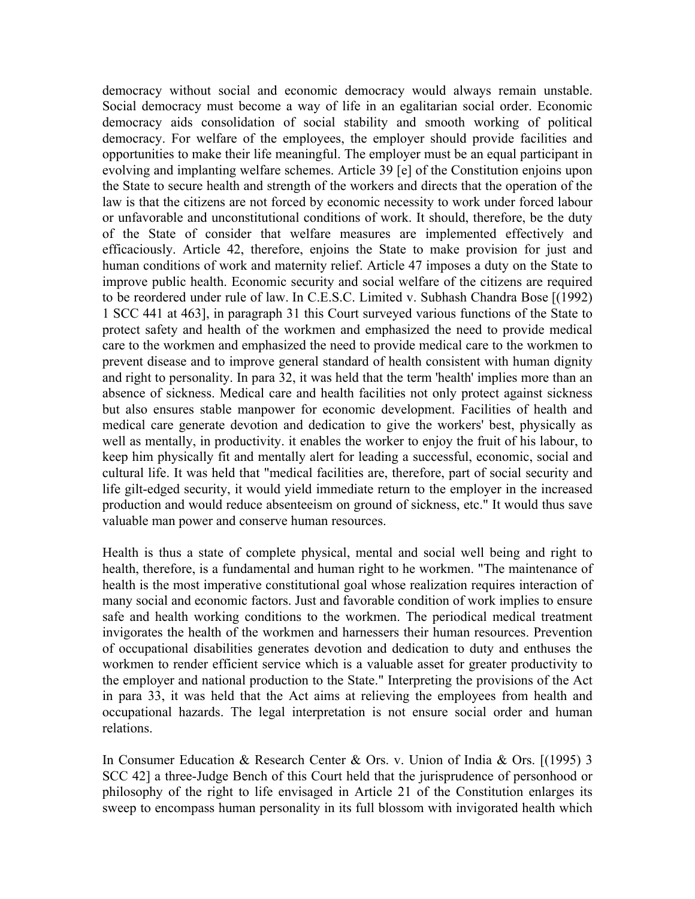democracy without social and economic democracy would always remain unstable. Social democracy must become a way of life in an egalitarian social order. Economic democracy aids consolidation of social stability and smooth working of political democracy. For welfare of the employees, the employer should provide facilities and opportunities to make their life meaningful. The employer must be an equal participant in evolving and implanting welfare schemes. Article 39 [e] of the Constitution enjoins upon the State to secure health and strength of the workers and directs that the operation of the law is that the citizens are not forced by economic necessity to work under forced labour or unfavorable and unconstitutional conditions of work. It should, therefore, be the duty of the State of consider that welfare measures are implemented effectively and efficaciously. Article 42, therefore, enjoins the State to make provision for just and human conditions of work and maternity relief. Article 47 imposes a duty on the State to improve public health. Economic security and social welfare of the citizens are required to be reordered under rule of law. In C.E.S.C. Limited v. Subhash Chandra Bose [(1992) 1 SCC 441 at 463], in paragraph 31 this Court surveyed various functions of the State to protect safety and health of the workmen and emphasized the need to provide medical care to the workmen and emphasized the need to provide medical care to the workmen to prevent disease and to improve general standard of health consistent with human dignity and right to personality. In para 32, it was held that the term 'health' implies more than an absence of sickness. Medical care and health facilities not only protect against sickness but also ensures stable manpower for economic development. Facilities of health and medical care generate devotion and dedication to give the workers' best, physically as well as mentally, in productivity. it enables the worker to enjoy the fruit of his labour, to keep him physically fit and mentally alert for leading a successful, economic, social and cultural life. It was held that "medical facilities are, therefore, part of social security and life gilt-edged security, it would yield immediate return to the employer in the increased production and would reduce absenteeism on ground of sickness, etc." It would thus save valuable man power and conserve human resources.

Health is thus a state of complete physical, mental and social well being and right to health, therefore, is a fundamental and human right to he workmen. "The maintenance of health is the most imperative constitutional goal whose realization requires interaction of many social and economic factors. Just and favorable condition of work implies to ensure safe and health working conditions to the workmen. The periodical medical treatment invigorates the health of the workmen and harnessers their human resources. Prevention of occupational disabilities generates devotion and dedication to duty and enthuses the workmen to render efficient service which is a valuable asset for greater productivity to the employer and national production to the State." Interpreting the provisions of the Act in para 33, it was held that the Act aims at relieving the employees from health and occupational hazards. The legal interpretation is not ensure social order and human relations.

In Consumer Education & Research Center & Ors. v. Union of India & Ors. [(1995) 3 SCC 42] a three-Judge Bench of this Court held that the jurisprudence of personhood or philosophy of the right to life envisaged in Article 21 of the Constitution enlarges its sweep to encompass human personality in its full blossom with invigorated health which